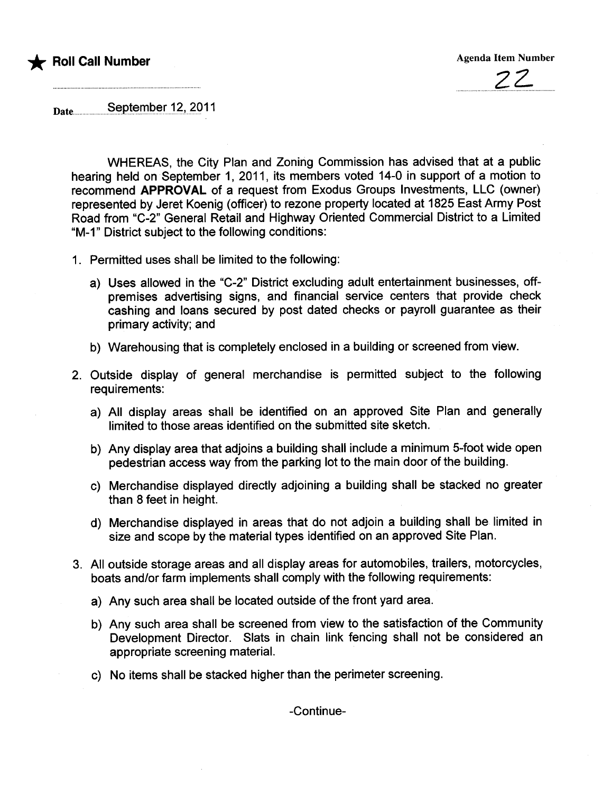



Date......................s~p.t~.rDti~r...1.t-)?911

WHEREAS, the City Plan and Zoning Commission has advised that at a public hearing held on September 1, 2011, its members voted 14-0 in support of a motion to recommend APPROVAL of a request from Exodus Groups Investments, LLC (owner) represented by Jeret Koenig (officer) to rezone property located at 1825 East Army Post Road from "C-2" General Retail and Highway Oriented Commercial District to a Limited "M-1" District subject to the following conditions:

- 1. Permitted uses shall be limited to the following:
	- a) Uses allowed in the "C-2" District excluding adult entertainment businesses, offpremises advertising signs, and financial service centers that provide check cashing and loans secured by post dated checks or payroll guarantee as their primary activity; and
	- b) Warehousing that is completely enclosed in a building or screened from view.
- 2. Outside display of general merchandise is permitted subject to the following requirements:
	- a) All display areas shall be identified on an approved Site Plan and generally limited to those areas identified on the submitted site sketch.
	- b) Any display area that adjoins a building shall include a minimum 5-foot wide open pedestrian access way from the parking lot to the main door of the building.
	- c) Merchandise displayed directly adjoining a building shall be stacked no greater than 8 feet in height.
	- d) Merchandise displayed in areas that do not adjoin a building shall be limited in size and scope by the material types identified on an approved Site Plan.
- 3. All outside storage areas and all display areas for automobiles, trailers, motorcycles, boats and/or farm implements shall comply with the following requirements:
	- a) Any such area shall be located outside of the front yard area.
	- b) Any such area shall be screened from view to the satisfaction of the Community Development Director. Slats in chain link fencing shall not be considered an appropriate screening materiaL.
	- c) No items shall be stacked higher than the perimeter screening.

-Continue-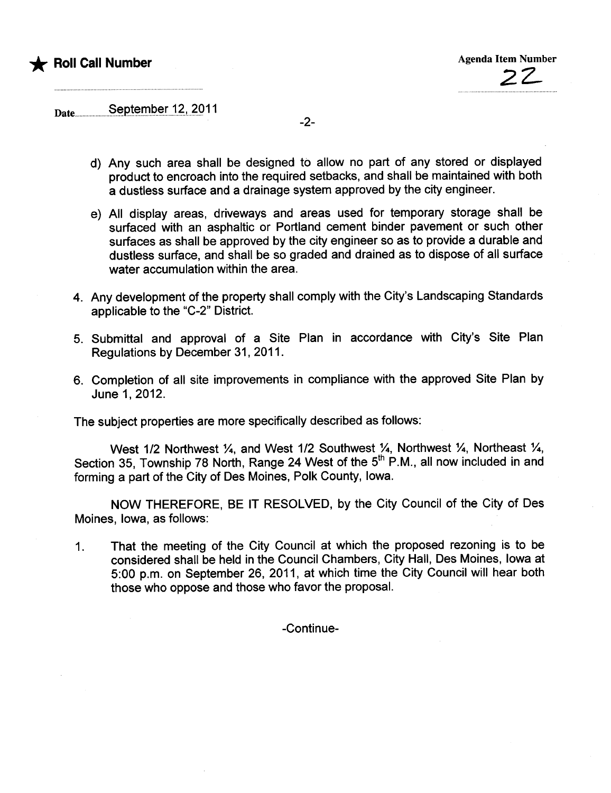

Date......................s~pJ~.rDti.~r.J?I..?..Q 11

- d) Any such area shall be designed to allow no part of any stored or displayed product to encroach into the required setbacks, and shall be maintained with both a dustless surface and a drainage system approved by the city engineer.
- e) All display areas, driveways and areas used for temporary storage shall be surfaced with an asphaltic or Portland cement binder pavement or such other surfaces as shall be approved by the city engineer so as to provide a durable and dustless surface, and shall be so graded and drained as to dispose of all surface water accumulation within the area.
- 4. Any development of the property shall comply with the City's Landscaping Standards applicable to the "C-2" District.
- 5. Submittal and approval of a Site Plan in accordance with City's Site Plan Regulations by December 31, 2011.
- 6. Completion of all site improvements in compliance with the approved Site Plan by June 1,2012.

The subject properties are more specifically described as follows:

West 1/2 Northwest  $\frac{1}{4}$ , and West 1/2 Southwest  $\frac{1}{4}$ , Northwest  $\frac{1}{4}$ , Northeast  $\frac{1}{4}$ , Section 35, Township 78 North, Range 24 West of the 5<sup>th</sup> P.M., all now included in and forming a part of the City of Des Moines, Polk County, Iowa.

NOW THEREFORE, BE IT RESOLVED, by the City Council of the City of Des Moines, Iowa, as follows:

1. That the meeting of the City Council at which the proposed rezoning is to be considered shall be held in the Council Chambers, City Hall, Des Moines, Iowa at 5:00 p.m. on September 26, 2011, at which time the City Council wil hear both those who oppose and those who favor the proposal.

-Continue-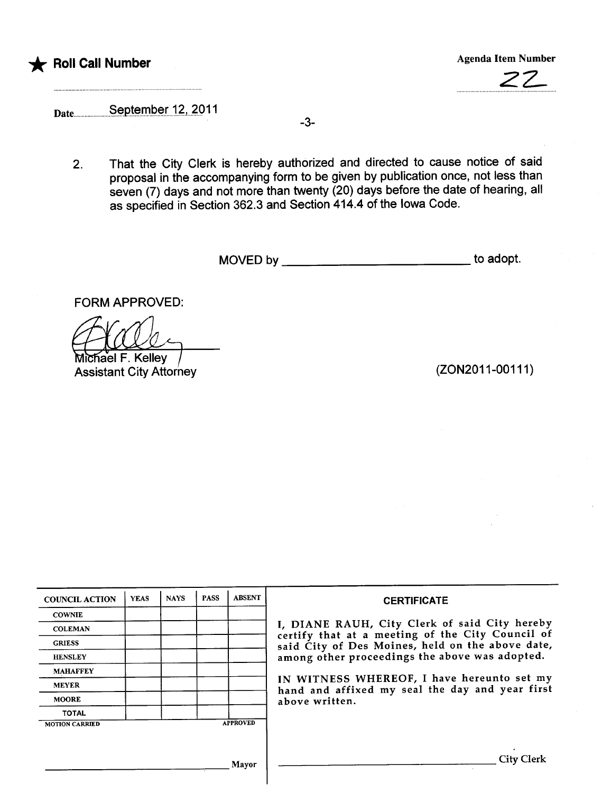



# Date.......................saptalTp.~.rJ?J..?O 11

.................................

2. That the City Clerk is hereby authorized and directed to cause notice of said proposal in the accompanying form to be given by publication once, not less than seven (7) days and not more than twenty (20) days before the date of hearing, all as specified in Section 362.3 and Section 414.4 of the Iowa Code.

-3-

MOVED by to adopt.

FORM APPROVED:

ACCO<br>
Michael F. Kelley<br>
Assistant City Attorney (ZON2011-00111)

| <b>COUNCIL ACTION</b> | <b>YEAS</b> | <b>NAYS</b> | <b>PASS</b> | <b>ABSENT</b>   | <b>CERTIFICATE</b>                                                                                |
|-----------------------|-------------|-------------|-------------|-----------------|---------------------------------------------------------------------------------------------------|
| <b>COWNIE</b>         |             |             |             |                 |                                                                                                   |
| <b>COLEMAN</b>        |             |             |             |                 | I, DIANE RAUH, City Clerk of said City hereby<br>certify that at a meeting of the City Council of |
| <b>GRIESS</b>         |             |             |             |                 | said City of Des Moines, held on the above date,                                                  |
| <b>HENSLEY</b>        |             |             |             |                 | among other proceedings the above was adopted.                                                    |
| <b>MAHAFFEY</b>       |             |             |             |                 |                                                                                                   |
| <b>MEYER</b>          |             |             |             |                 | IN WITNESS WHEREOF, I have hereunto set my<br>hand and affixed my seal the day and year first     |
| <b>MOORE</b>          |             |             |             |                 | above written.                                                                                    |
| <b>TOTAL</b>          |             |             |             |                 |                                                                                                   |
| <b>MOTION CARRIED</b> |             |             |             | <b>APPROVED</b> |                                                                                                   |
|                       |             |             |             |                 |                                                                                                   |
|                       |             |             |             | Mayor           | City Clerk                                                                                        |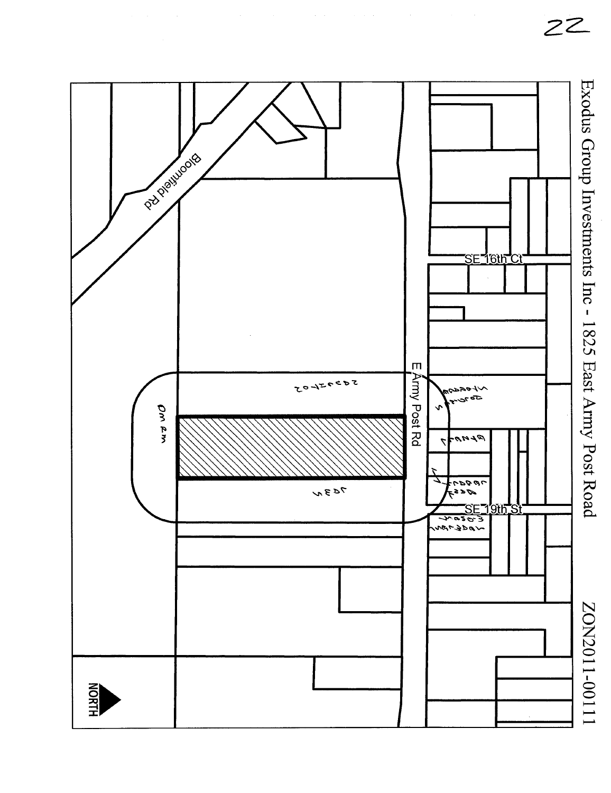

ZZ-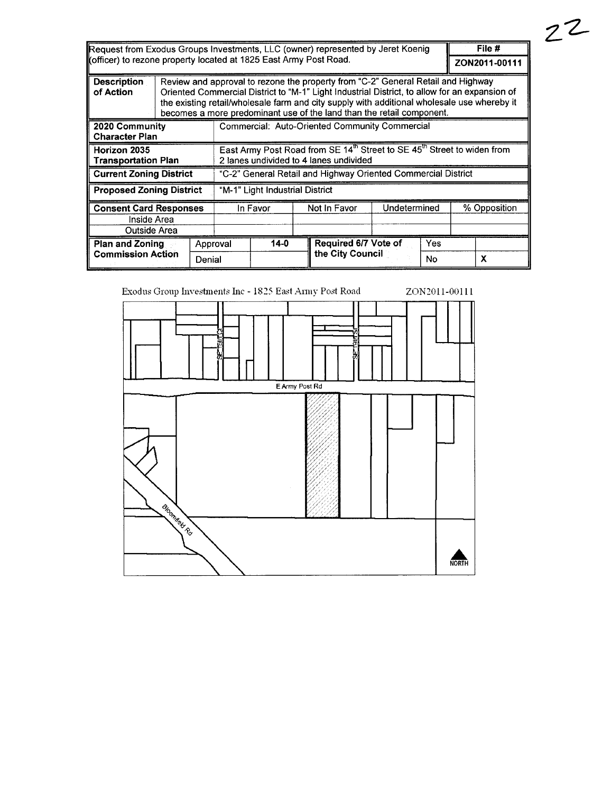| Request from Exodus Groups Investments, LLC (owner) represented by Jeret Koenig |  |                                                                                                                                                                                                                                                                                                                                                           |                                                                                                                                           |                                          |  |                      | File #        |    |   |  |
|---------------------------------------------------------------------------------|--|-----------------------------------------------------------------------------------------------------------------------------------------------------------------------------------------------------------------------------------------------------------------------------------------------------------------------------------------------------------|-------------------------------------------------------------------------------------------------------------------------------------------|------------------------------------------|--|----------------------|---------------|----|---|--|
| Kofficer) to rezone property located at 1825 East Army Post Road.               |  |                                                                                                                                                                                                                                                                                                                                                           |                                                                                                                                           |                                          |  |                      | ZON2011-00111 |    |   |  |
| <b>Description</b><br>of Action                                                 |  | Review and approval to rezone the property from "C-2" General Retail and Highway<br>Oriented Commercial District to "M-1" Light Industrial District, to allow for an expansion of<br>the existing retail/wholesale farm and city supply with additional wholesale use whereby it<br>becomes a more predominant use of the land than the retail component. |                                                                                                                                           |                                          |  |                      |               |    |   |  |
| 2020 Community<br><b>Character Plan</b>                                         |  | Commercial: Auto-Oriented Community Commercial                                                                                                                                                                                                                                                                                                            |                                                                                                                                           |                                          |  |                      |               |    |   |  |
| Horizon 2035<br><b>Transportation Plan</b>                                      |  |                                                                                                                                                                                                                                                                                                                                                           | East Army Post Road from SE 14 <sup>th</sup> Street to SE 45 <sup>th</sup> Street to widen from<br>2 lanes undivided to 4 lanes undivided |                                          |  |                      |               |    |   |  |
| <b>Current Zoning District</b>                                                  |  |                                                                                                                                                                                                                                                                                                                                                           | "C-2" General Retail and Highway Oriented Commercial District                                                                             |                                          |  |                      |               |    |   |  |
| <b>Proposed Zoning District</b>                                                 |  |                                                                                                                                                                                                                                                                                                                                                           | "M-1" Light Industrial District                                                                                                           |                                          |  |                      |               |    |   |  |
| <b>Consent Card Responses</b><br>Inside Area<br>Outside Area                    |  |                                                                                                                                                                                                                                                                                                                                                           |                                                                                                                                           | Not In Favor<br>In Favor<br>Undetermined |  |                      | % Opposition  |    |   |  |
| <b>Plan and Zoning</b><br><b>Commission Action</b>                              |  |                                                                                                                                                                                                                                                                                                                                                           | $14-0$<br>Approval                                                                                                                        |                                          |  | Required 6/7 Vote of | Yes           |    |   |  |
|                                                                                 |  | Denial                                                                                                                                                                                                                                                                                                                                                    |                                                                                                                                           |                                          |  | the City Council     |               | No | x |  |

Exodus Group Investments Inc - 1825 East Army Post Road ZON2011-00111

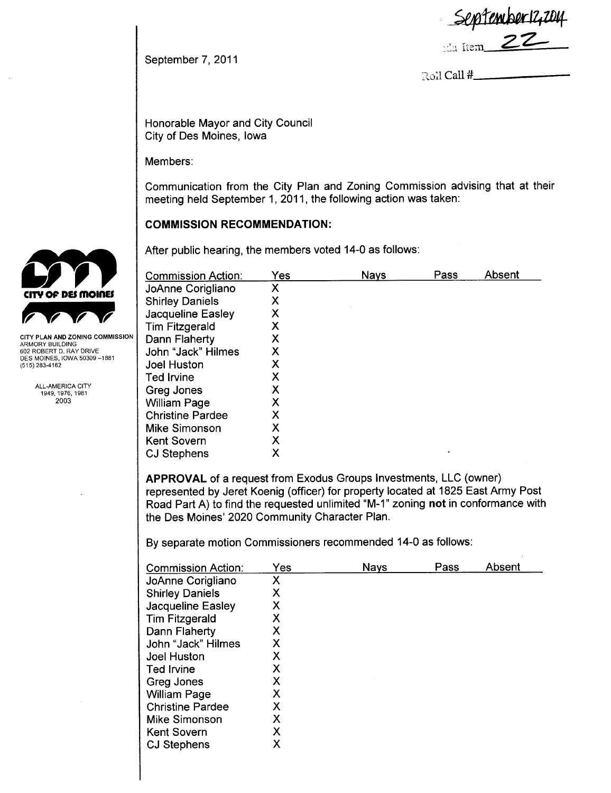**September 12,2**<br>22 Item **Z Z** 

September 7, 2011

Roll Call #

Honorable Mayor and City Council City of Des Moines, Iowa

Members:

Communication from the City Plan and Zoning Commission advising that at their meeting held September 1, 2011, the following action was taken:

COMMISSION RECOMMENDATION:

After public hearing, the members voted 14-0 as follows:

| Commission Action:      | Yes | <b>Nays</b> | Pass | Absent |
|-------------------------|-----|-------------|------|--------|
| JoAnne Corigliano       | Х   |             |      |        |
| <b>Shirley Daniels</b>  | Χ   |             |      |        |
| Jacqueline Easley       | Х   |             |      |        |
| <b>Tim Fitzgerald</b>   | Х   |             |      |        |
| Dann Flaherty           | Х   |             |      |        |
| John "Jack" Hilmes      | Χ   |             |      |        |
| <b>Joel Huston</b>      | Χ   |             |      |        |
| Ted Irvine              | Χ   |             |      |        |
| Greg Jones              | х   |             |      |        |
| <b>William Page</b>     | Χ   |             |      |        |
| <b>Christine Pardee</b> | Χ   |             |      |        |
| Mike Simonson           | Χ   |             |      |        |
| <b>Kent Sovern</b>      | Х   |             |      |        |
| <b>CJ Stephens</b>      |     |             | ٠    |        |

APPROVAL of a request from Exodus Groups Investments, LLC (owner) represented by Jeret Koenig (officer) for property located at 1825 East Army Post Road Part A) to find the requested unlimited "M-1" zoning not in conformance with the Des Moines' 2020 Community Character Plan.

By separate motion Commissioners recommended 14-0 as follows:

| <b>Commission Action:</b> | Yes | <b>Nays</b> | Pass | Absent |
|---------------------------|-----|-------------|------|--------|
| JoAnne Corigliano         | X   |             |      |        |
| <b>Shirley Daniels</b>    | Χ   |             |      |        |
| Jacqueline Easley         | Χ   |             |      |        |
| <b>Tim Fitzgerald</b>     | Х   |             |      |        |
| Dann Flaherty             | Х   |             |      |        |
| John "Jack" Hilmes        | Χ   |             |      |        |
| Joel Huston               | Χ   |             |      |        |
| <b>Ted Irvine</b>         | Χ   |             |      |        |
| Greg Jones                | Х   |             |      |        |
| <b>William Page</b>       | Χ   |             |      |        |
| <b>Christine Pardee</b>   | Χ   |             |      |        |
| Mike Simonson             | X   |             |      |        |
| <b>Kent Sovern</b>        | X   |             |      |        |
| <b>CJ Stephens</b>        | Χ   |             |      |        |



ARMORY BUILDING<br>602 ROBERT D. RAY DRIVE<br>DES MOINES, IOWA 50309 –1881 (515) 283-4182

> ALL-AMERICA CITY 1949,1976,1981 2003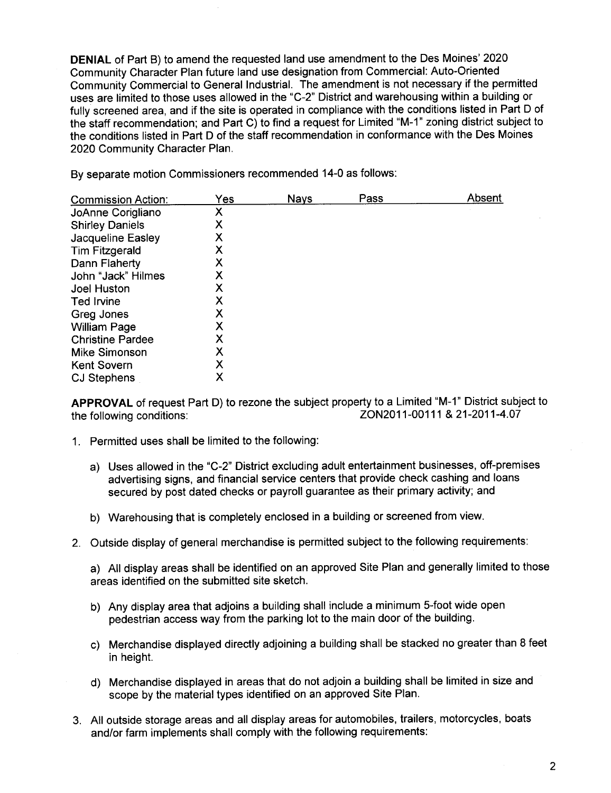DENIAL of Part B) to amend the requested land use amendment to the Des Moines' 2020 Community Character Plan future land use designation from Commercial: Auto-Oriented Community Commercial to General Industrial. The amendment is not necessary if the permitted uses are limited to those uses allowed in the "C-2" District and warehousing within a building or fully screened area, and if the site is operated in compliance with the conditions listed in Part D of the staff recommendation; and Part C) to find a request for Limited "M-1" zoning district subject to the conditions listed in Part D of the staff recommendation in conformance with the Des Moines 2020 Community Character Plan.

By separate motion Commissioners recommended 14-0 as follows:

| <b>Commission Action:</b> | Yes | Nays | Pass | Absent |
|---------------------------|-----|------|------|--------|
| JoAnne Corigliano         | Х   |      |      |        |
| <b>Shirley Daniels</b>    | Х   |      |      |        |
| Jacqueline Easley         | Χ   |      |      |        |
| <b>Tim Fitzgerald</b>     | х   |      |      |        |
| Dann Flaherty             | Х   |      |      |        |
| John "Jack" Hilmes        | Х   |      |      |        |
| <b>Joel Huston</b>        | Χ   |      |      |        |
| Ted Irvine                | Х   |      |      |        |
| Greg Jones                | Χ   |      |      |        |
| <b>William Page</b>       | Χ   |      |      |        |
| <b>Christine Pardee</b>   | X   |      |      |        |
| <b>Mike Simonson</b>      | Χ   |      |      |        |
| <b>Kent Sovern</b>        | X   |      |      |        |
| <b>CJ Stephens</b>        | Х   |      |      |        |

APPROVAL of request Part D) to rezone the subject property to a Limited "M-1" District subject to the following conditions: <br>ZON2011-00111 & 21-2011-4.07 ZON2011-00111 & 21-2011-4.07

- 1. Permitted uses shall be limited to the following:
	- a) Uses allowed in the "C-2" District excluding adult entertainment businesses, off-premises advertising signs, and financial service centers that provide check cashing and loans secured by post dated checks or payroll guarantee as their primary activity; and
	- b) Warehousing that is completely enclosed in a building or screened from view.
- 2. Outside display of general merchandise is permitted subject to the following requirements:

a) All display areas shall be identified on an approved Site Plan and generally limited to those areas identified on the submitted site sketch.

- b) Any display area that adjoins a building shall include a minimum 5-foot wide open pedestrian access way from the parking lot to the main door of the building.
- c) Merchandise displayed directly adjoining a building shall be stacked no greater than 8 feet in height.
- d) Merchandise displayed in areas that do not adjoin a building shall be limited in size and scope by the material types identified on an approved Site Plan.
- 3. All outside storage areas and all display areas for automobiles, trailers, motorcycles, boats and/or farm implements shall comply with the following requirements: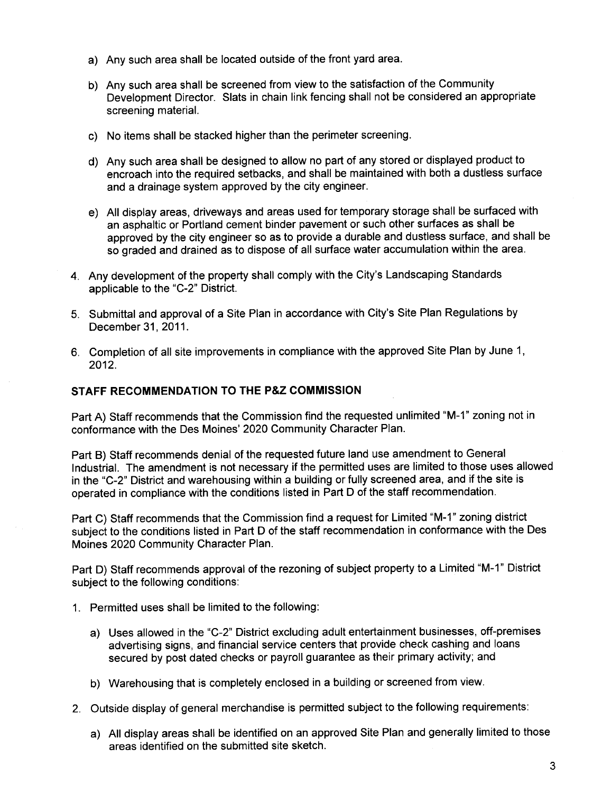- a) Any such area shall be located outside of the front yard area.
- b) Any such area shall be screened from view to the satisfaction of the Community Development Director. Slats in chain link fencing shall not be considered an appropriate screening material.
- c) No items shall be stacked higher than the perimeter screening.
- d) Any such area shall be designed to allow no part of any stored or displayed product to encroach into the required setbacks, and shall be maintained with both a dustless surface and a drainage system approved by the city engineer.
- e) All display areas, driveways and areas used for temporary storage shall be surfaced with an asphaltic or Portland cement binder pavement or such other surfaces as shall be approved by the city engineer so as to provide a durable and dustless surface, and shall be so graded and drained as to dispose of all surface water accumulation within the area.
- 4. Any development of the property shall comply with the City's Landscaping Standards applicable to the "C-2" District.
- 5. Submittal and approval of a Site Plan in accordance with City's Site Plan Regulations by December 31,2011.
- 6. Completion of all site improvements in compliance with the approved Site Plan by June 1, 2012.

### STAFF RECOMMENDATION TO THE P&Z COMMISSION

Part A) Staff recommends that the Commission find the requested unlimited "M-1" zoning not in conformance with the Des Moines' 2020 Community Character Plan.

Part B) Staff recommends denial of the requested future land use amendment to General IndustriaL. The amendment is not necessary if the permitted uses are limited to those uses allowed in the "C-2" District and warehousing within a building or fully screened area, and if the site is operated in compliance with the conditions listed in Part D of the staff recommendation.

Part C) Staff recommends that the Commission find a request for Limited "M-1" zoning district subject to the conditions listed in Part D of the staff recommendation in conformance with the Des Moines 2020 Community Character Plan.

Part D) Staff recommends approval of the rezoning of subject property to a Limited "M-1" District subject to the following conditions:

- 1. Permitted uses shall be limited to the following:
	- a) Uses allowed in the "C-2" District excluding adult entertainment businesses, off-premises advertising signs, and financial service centers that provide check cashing and loans secured by post dated checks or payroll guarantee as their primary activity; and
	- b) Warehousing that is completely enclosed in a building or screened from view.
- 2. Outside display of general merchandise is permitted subject to the following requirements:
	- a) All display areas shall be identified on an approved Site Plan and generally limited to those areas identified on the submitted site sketch.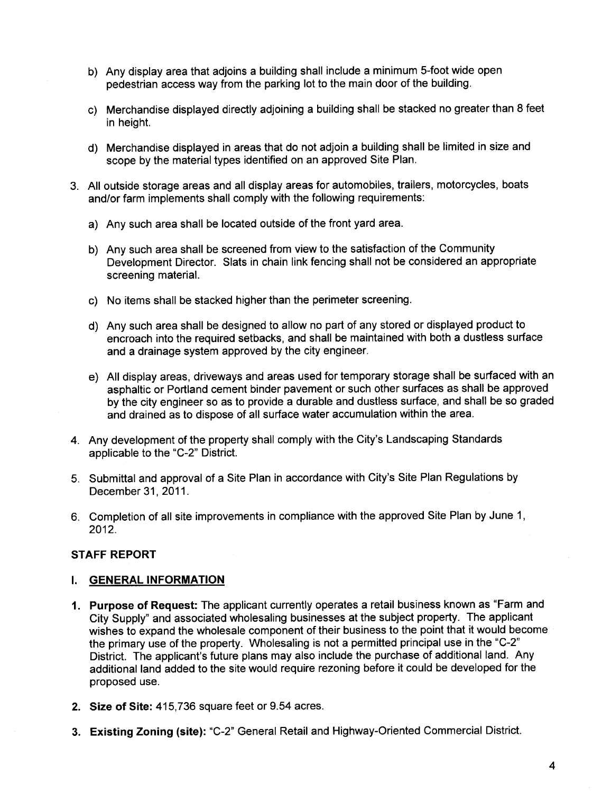- b) Any display area that adjoins a building shall include a minimum 5-foot wide open pedestrian access way from the parking lot to the main door of the building.
- c) Merchandise displayed directly adjoining a building shall be stacked no greater than 8 feet in height.
- d) Merchandise displayed in areas that do not adjoin a building shall be limited in size and scope by the material types identified on an approved Site Plan.
- 3. All outside storage areas and all display areas for automobiles, trailers, motorcycles, boats and/or farm implements shall comply with the following requirements:
	- a) Any such area shall be located outside of the front yard area.
	- b) Any such area shall be screened from view to the satisfaction of the Community Development Director. Slats in chain link fencing shall not be considered an appropriate screening material.
	- c) No items shall be stacked higher than the perimeter screening.
	- d) Any such area shall be designed to allow no part of any stored or displayed product to encroach into the required setbacks, and shall be maintained with both a dustless surface and a drainage system approved by the city engineer.
	- e) All display areas, driveways and areas used for temporary storage shall be surfaced with an asphaltic or Portland cement binder pavement or such other surfaces as shall be approved by the city engineer so as to provide a durable and dustless surface, and shall be so graded and drained as to dispose of all surface water accumulation within the area.
- 4. Any development of the property shall comply with the City's Landscaping Standards applicable to the "C-2" District.
- 5. Submittal and approval of a Site Plan in accordance with City's Site Plan Regulations by December 31, 2011.
- 6. Completion of all site improvements in compliance with the approved Site Plan by June 1, 2012.

### STAFF REPORT

### i. GENERAL INFORMATION

- 1. Purpose of Request: The applicant currently operates a retail business known as "Farm and City Supply" and associated wholesaling businesses at the subject property. The applicant wishes to expand the wholesale component of their business to the point that it would become the primary use of the property. Wholesaling is not a permitted principal use in the "C-2" District. The applicant's future plans may also include the purchase of additional land. Any additional land added to the site would require rezoning before it could be developed for the proposed use.
- 2. Size of Site: 415,736 square feet or 9.54 acres.
- 3. Existing Zoning (site): "C-2" General Retail and Highway-Oriented Commercial District.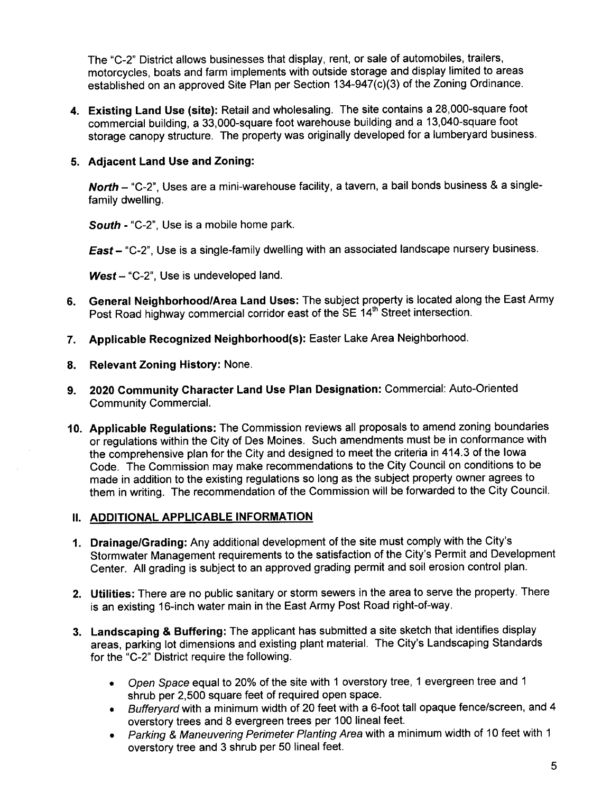The "C-2" District allows businesses that display, rent, or sale of automobiles, trailers, motorcycles, boats and farm implements with outside storage and display limited to areas established on an approved Site Plan per Section 134-947(c)(3) of the Zoning Ordinance.

4. Existing Land Use (site): Retail and wholesaling. The site contains a 28,000-square foot commercial building, a 33,OOO-square foot warehouse building and a 13,040-square foot storage canopy structure. The property was originally developed for a lumberyard business.

## 5. Adjacent Land Use and Zoning:

North - "C-2", Uses are a mini-warehouse facility, a tavern, a bail bonds business & a singlefamily dwelling.

South - "C-2", Use is a mobile home park.

East - "C-2", Use is a single-family dwelling with an associated landscape nursery business.

 $West-$  "C-2", Use is undeveloped land.

- 6. General Neighborhood/Area Land Uses: The subject property is located along the East Army Post Road highway commercial corridor east of the SE 14<sup>th</sup> Street intersection.
- 7. Applicable Recognized Neighborhood(s): Easter Lake Area Neighborhood.
- 8. Relevant Zoning History: None.
- 9. 2020 Community Character Land Use Plan Designation: Commercial: Auto-Oriented Community CommerciaL.
- 10. Applicable Regulations: The Commission reviews all proposals to amend zoning boundaries or regulations within the City of Des Moines. Such amendments must be in conformance with the comprehensive plan for the City and designed to meet the criteria in 414.3 of the Iowa Code. The Commission may make recommendations to the City Council on conditions to be made in addition to the existing regulations so long as the subject property owner agrees to them in writing. The recommendation of the Commission will be forwarded to the City CounciL.

### II. ADDITIONAL APPLICABLE INFORMATION

- 1. Drainage/Grading: Any additional development of the site must comply with the City's Stormwater Management requirements to the satisfaction of the City's Permit and Development Center. All grading is subject to an approved grading permit and soil erosion control plan.
- 2. Utilities: There are no public sanitary or storm sewers in the area to serve the property. There is an existing 16-inch water main in the East Army Post Road right-of-way.
- 3. Landscaping & Buffering: The applicant has submitted a site sketch that identifies display areas, parking lot dimensions and existing plant material. The City's Landscaping Standards for the "C-2" District require the following.
	- . Open Space equal to 20% of the site with 1 overstory tree, 1 evergreen tree and 1 shrub per 2,500 square feet of required open space.
	- . Bufferyard with a minimum width of 20 feet with a 6-foot tall opaque fence/screen, and 4 overstory trees and 8 evergreen trees per 100 lineal feet.
	- . Parking & Maneuvering Perimeter Planting Area with a minimum width of 10 feet with 1 overstory tree and 3 shrub per 50 lineal feet.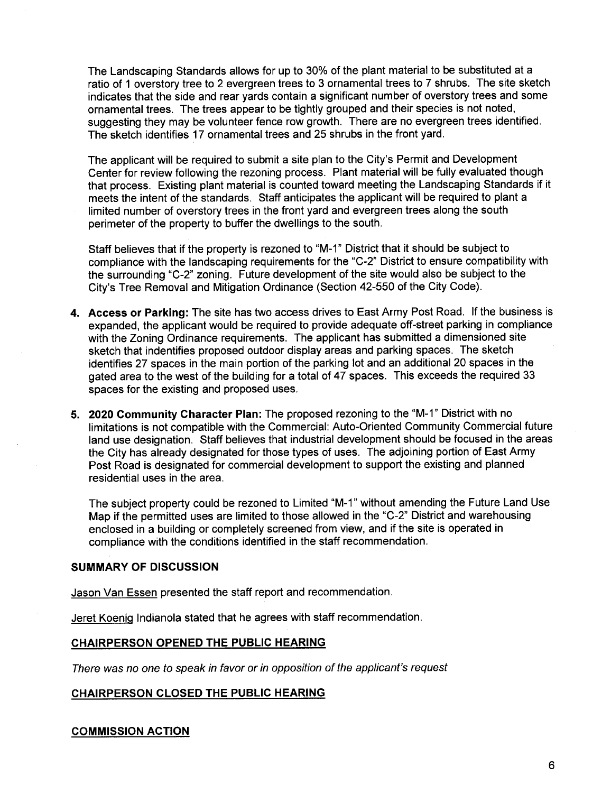The Landscaping Standards allows for up to 30% of the plant material to be substituted at a ratio of 1 overstory tree to 2 evergreen trees to 3 ornamental trees to 7 shrubs. The site sketch indicates that the side and rear yards contain a significant number of overstory trees and some ornamental trees. The trees appear to be tightly grouped and their species is not noted, suggesting they may be volunteer fence row growth. There are no evergreen trees identified. The sketch identifies 17 ornamental trees and 25 shrubs in the front yard.

The applicant will be required to submit a site plan to the City's Permit and Development Center for review following the rezoning process. Plant material will be fully evaluated though that process. Existing plant material is counted toward meeting the Landscaping Standards if it meets the intent of the standards. Staff anticipates the applicant will be required to plant a limited number of overstory trees in the front yard and evergreen trees along the south perimeter of the property to buffer the dwellings to the south.

Staff believes that if the property is rezoned to "M-1" District that it should be subject to compliance with the landscaping requirements for the "C-2" District to ensure compatibility with the surrounding "C-2" zoning. Future development of the site would also be subject to the City's Tree Removal and Mitigation Ordinance (Section 42-550 of the City Code).

- 4. Access or Parking: The site has two access drives to East Army Post Road. If the business is expanded, the applicant would be required to provide adequate off-street parking in compliance with the Zoning Ordinance requirements. The applicant has submitted a dimensioned site sketch that indentifies proposed outdoor display areas and parking spaces. The sketch identifies 27 spaces in the main portion of the parking lot and an additional 20 spaces in the gated area to the west of the building for a total of 47 spaces. This exceeds the required 33 spaces for the existing and proposed uses.
- 5. 2020 Community Character Plan: The proposed rezoning to the "M-1" District with no limitations is not compatible with the Commercial: Auto-Oriented Community Commercial future land use designation. Staff believes that industrial development should be focused in the areas the City has already designated for those types of uses. The adjoining portion of East Army Post Road is designated for commercial development to support the existing and planned residential uses in the area.

The subject property could be rezoned to Limited "M-1" without amending the Future Land Use Map if the permitted uses are limited to those allowed in the "C-2" District and warehousing enclosed in a building or completely screened from view, and if the site is operated in compliance with the conditions identified in the staff recommendation.

#### SUMMARY OF DISCUSSION

Jason Van Essen presented the staff report and recommendation.

Jeret Koenig Indianola stated that he agrees with staff recommendation.

#### CHAIRPERSON OPENED THE PUBLIC HEARING

There was no one to speak in favor or in opposition of the applicant's request

#### CHAIRPERSON CLOSED THE PUBLIC HEARING

#### COMMISSION ACTION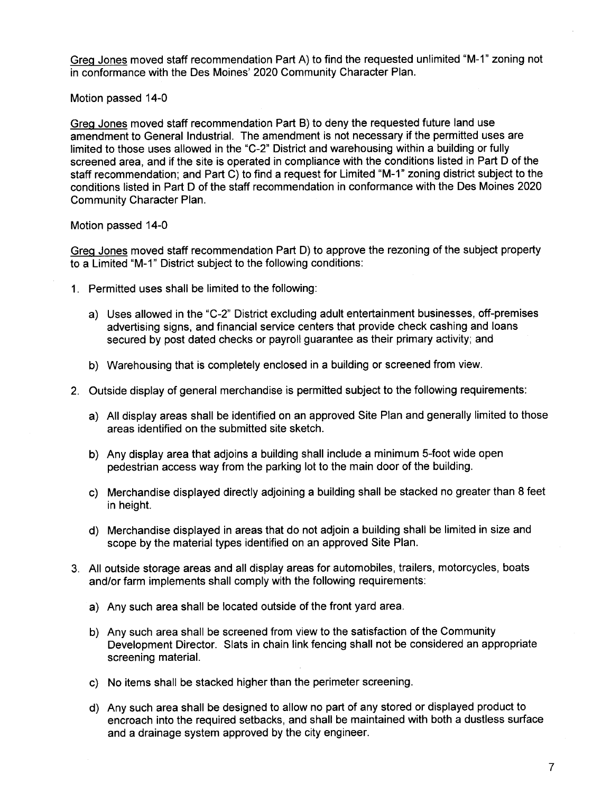Greg Jones moved staff recommendation Part A) to find the requested unlimited "M-1" zoning not in conformance with the Des Moines' 2020 Community Character Plan.

Motion passed 14-0

Greg Jones moved staff recommendation Part B) to deny the requested future land use amendment to General Industrial. The amendment is not necessary if the permitted uses are limited to those uses allowed in the "C-2" District and warehousing within a building or fully screened area, and if the site is operated in compliance with the conditions listed in Part D of the staff recommendation; and Part C) to find a request for Limited "M-1" zoning district subject to the conditions listed in Part D of the staff recommendation in conformance with the Des Moines 2020 Community Character Plan.

Motion passed 14-0

Greq Jones moved staff recommendation Part D) to approve the rezoning of the subject property to a Limited "M-1" District subject to the following conditions:

- 1. Permitted uses shall be limited to the following:
	- a) Uses allowed in the "C-2" District excluding adult entertainment businesses, off-premises advertising signs, and financial service centers that provide check cashing and loans secured by post dated checks or payroll guarantee as their primary activity; and
	- b) Warehousing that is completely enclosed in a building or screened from view.
- 2. Outside display of general merchandise is permitted subject to the following requirements:
	- a) All display areas shall be identified on an approved Site Plan and generally limited to those areas identified on the submitted site sketch.
	- b) Any display area that adjoins a building shall include a minimum 5-foot wide open pedestrian access way from the parking lot to the main door of the building.
	- c) Merchandise displayed directly adjoining a building shall be stacked no greater than 8 feet in height.
	- d) Merchandise displayed in areas that do not adjoin a building shall be limited in size and scope by the material types identified on an approved Site Plan.
- 3. All outside storage areas and all display areas for automobiles, trailers, motorcycles, boats and/or farm implements shall comply with the following requirements:
	- a) Any such area shall be located outside of the front yard area.
	- b) Any such area shall be screened from view to the satisfaction of the Community Development Director. Slats in chain link fencing shall not be considered an appropriate screening material.
	- c) No items shall be stacked higher than the perimeter screening.
	- d) Any such area shall be designed to allow no part of any stored or displayed product to encroach into the required setbacks, and shall be maintained with both a dustless surface and a drainage system approved by the city engineer.